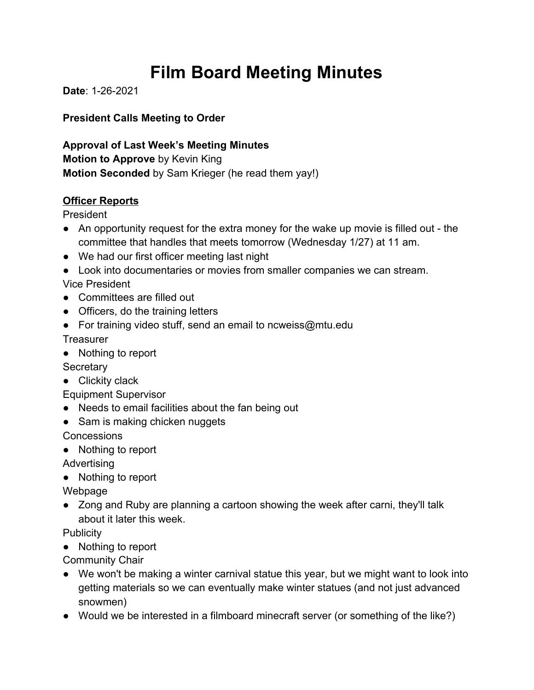# **Film Board Meeting Minutes**

**Date**: 1-26-2021

**President Calls Meeting to Order**

**Approval of Last Week's Meeting Minutes Motion to Approve** by Kevin King **Motion Seconded** by Sam Krieger (he read them yay!)

# **Officer Reports**

President

- An opportunity request for the extra money for the wake up movie is filled out the committee that handles that meets tomorrow (Wednesday 1/27) at 11 am.
- We had our first officer meeting last night
- Look into documentaries or movies from smaller companies we can stream.

Vice President

- Committees are filled out
- Officers, do the training letters
- For training video stuff, send an email to ncweiss@mtu.edu

**Treasurer** 

● Nothing to report

**Secretary** 

● Clickity clack

Equipment Supervisor

- Needs to email facilities about the fan being out
- Sam is making chicken nuggets

Concessions

● Nothing to report

Advertising

● Nothing to report

Webpage

● Zong and Ruby are planning a cartoon showing the week after carni, they'll talk about it later this week.

**Publicity** 

● Nothing to report

Community Chair

- We won't be making a winter carnival statue this year, but we might want to look into getting materials so we can eventually make winter statues (and not just advanced snowmen)
- Would we be interested in a filmboard minecraft server (or something of the like?)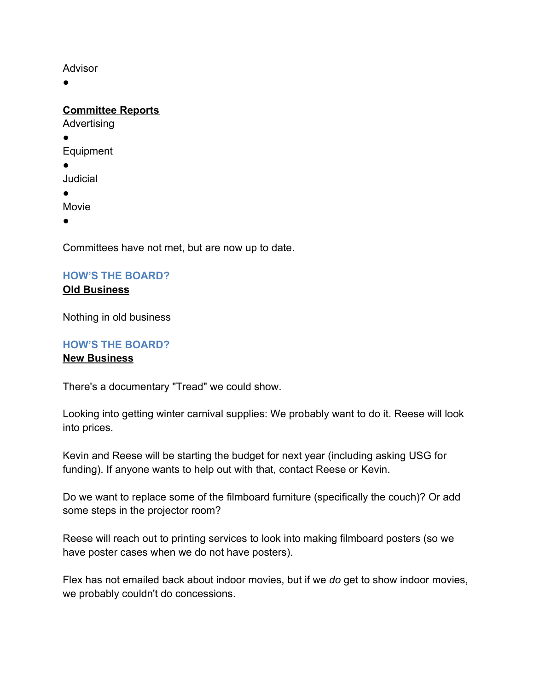#### Advisor

 $\bullet$ 

**Committee Reports**

Advertising

●

Equipment

●

Judicial

●

Movie

●

Committees have not met, but are now up to date.

#### **HOW'S THE BOARD? Old Business**

Nothing in old business

# **HOW'S THE BOARD?**

### **New Business**

There's a documentary "Tread" we could show.

Looking into getting winter carnival supplies: We probably want to do it. Reese will look into prices.

Kevin and Reese will be starting the budget for next year (including asking USG for funding). If anyone wants to help out with that, contact Reese or Kevin.

Do we want to replace some of the filmboard furniture (specifically the couch)? Or add some steps in the projector room?

Reese will reach out to printing services to look into making filmboard posters (so we have poster cases when we do not have posters).

Flex has not emailed back about indoor movies, but if we *do* get to show indoor movies, we probably couldn't do concessions.